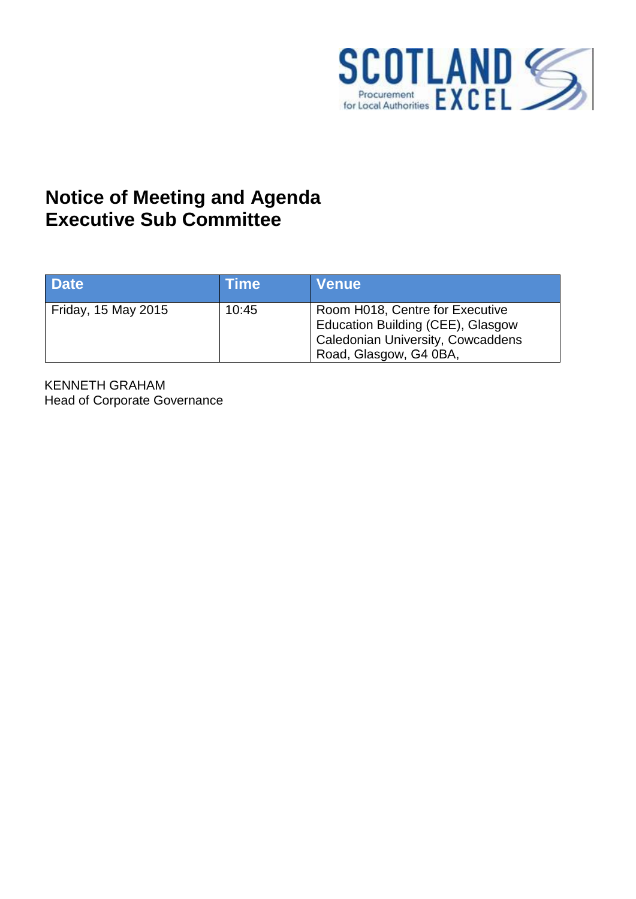

## **Notice of Meeting and Agenda Executive Sub Committee**

| <b>Date</b>         | <b>Time</b> | <b>Venue</b>                                                                                                                               |
|---------------------|-------------|--------------------------------------------------------------------------------------------------------------------------------------------|
| Friday, 15 May 2015 | 10:45       | Room H018, Centre for Executive<br>Education Building (CEE), Glasgow<br><b>Caledonian University, Cowcaddens</b><br>Road, Glasgow, G4 0BA, |

KENNETH GRAHAM Head of Corporate Governance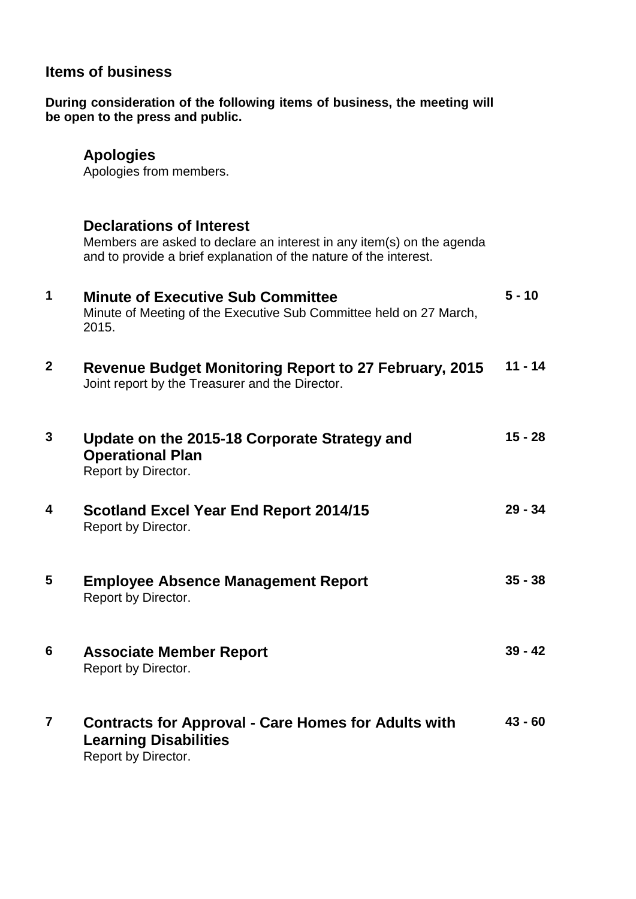## **Items of business**

**During consideration of the following items of business, the meeting will be open to the press and public.** 

## **Apologies**

Apologies from members.

|              | <b>Declarations of Interest</b><br>Members are asked to declare an interest in any item(s) on the agenda<br>and to provide a brief explanation of the nature of the interest. |           |
|--------------|-------------------------------------------------------------------------------------------------------------------------------------------------------------------------------|-----------|
| 1            | <b>Minute of Executive Sub Committee</b><br>Minute of Meeting of the Executive Sub Committee held on 27 March,<br>2015.                                                       | $5 - 10$  |
| $\mathbf{2}$ | Revenue Budget Monitoring Report to 27 February, 2015<br>Joint report by the Treasurer and the Director.                                                                      | $11 - 14$ |
| 3            | Update on the 2015-18 Corporate Strategy and<br><b>Operational Plan</b><br>Report by Director.                                                                                | $15 - 28$ |
| 4            | <b>Scotland Excel Year End Report 2014/15</b><br>Report by Director.                                                                                                          | $29 - 34$ |
| 5            | <b>Employee Absence Management Report</b><br>Report by Director.                                                                                                              | $35 - 38$ |
| 6            | <b>Associate Member Report</b><br>Report by Director.                                                                                                                         | $39 - 42$ |
| 7            | <b>Contracts for Approval - Care Homes for Adults with</b><br><b>Learning Disabilities</b><br>Report by Director.                                                             | $43 - 60$ |